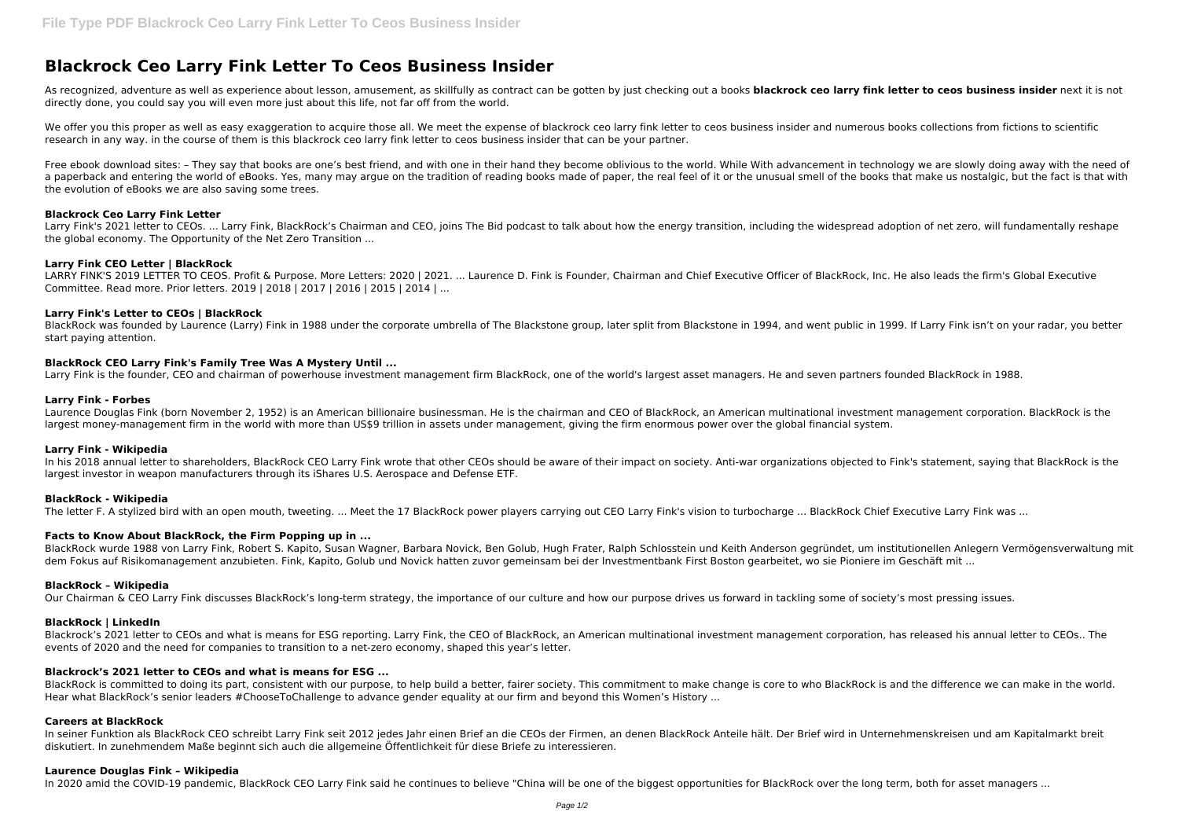# **Blackrock Ceo Larry Fink Letter To Ceos Business Insider**

As recognized, adventure as well as experience about lesson, amusement, as skillfully as contract can be gotten by just checking out a books **blackrock ceo larry fink letter to ceos business insider** next it is not directly done, you could say you will even more just about this life, not far off from the world.

We offer you this proper as well as easy exaggeration to acquire those all. We meet the expense of blackrock ceo larry fink letter to ceos business insider and numerous books collections from fictions to scientific research in any way. in the course of them is this blackrock ceo larry fink letter to ceos business insider that can be your partner.

Free ebook download sites: - They say that books are one's best friend, and with one in their hand they become oblivious to the world. While With advancement in technology we are slowly doing away with the need of a paperback and entering the world of eBooks. Yes, many may argue on the tradition of reading books made of paper, the real feel of it or the unusual smell of the books that make us nostalgic, but the fact is that with the evolution of eBooks we are also saving some trees.

Larry Fink's 2021 letter to CEOs. ... Larry Fink, BlackRock's Chairman and CEO, joins The Bid podcast to talk about how the energy transition, including the widespread adoption of net zero, will fundamentally reshape the global economy. The Opportunity of the Net Zero Transition ...

LARRY FINK'S 2019 LETTER TO CEOS. Profit & Purpose. More Letters: 2020 | 2021. ... Laurence D. Fink is Founder, Chairman and Chief Executive Officer of BlackRock, Inc. He also leads the firm's Global Executive Committee. Read more. Prior letters. 2019 | 2018 | 2017 | 2016 | 2015 | 2014 | ...

#### **Blackrock Ceo Larry Fink Letter**

In his 2018 annual letter to shareholders, BlackRock CEO Larry Fink wrote that other CEOs should be aware of their impact on society. Anti-war organizations objected to Fink's statement, saying that BlackRock is the largest investor in weapon manufacturers through its iShares U.S. Aerospace and Defense ETF.

#### **Larry Fink CEO Letter | BlackRock**

# **Larry Fink's Letter to CEOs | BlackRock**

BlackRock was founded by Laurence (Larry) Fink in 1988 under the corporate umbrella of The Blackstone group, later split from Blackstone in 1994, and went public in 1999. If Larry Fink isn't on your radar, you better start paying attention.

## **BlackRock CEO Larry Fink's Family Tree Was A Mystery Until ...**

Larry Fink is the founder, CEO and chairman of powerhouse investment management firm BlackRock, one of the world's largest asset managers. He and seven partners founded BlackRock in 1988.

BlackRock is committed to doing its part, consistent with our purpose, to help build a better, fairer society. This commitment to make change is core to who BlackRock is and the difference we can make in the world. Hear what BlackRock's senior leaders #ChooseToChallenge to advance gender equality at our firm and beyond this Women's History ...

#### **Larry Fink - Forbes**

Laurence Douglas Fink (born November 2, 1952) is an American billionaire businessman. He is the chairman and CEO of BlackRock, an American multinational investment management corporation. BlackRock is the largest money-management firm in the world with more than US\$9 trillion in assets under management, giving the firm enormous power over the global financial system.

#### **Larry Fink - Wikipedia**

## **BlackRock - Wikipedia**

The letter F. A stylized bird with an open mouth, tweeting. ... Meet the 17 BlackRock power players carrying out CEO Larry Fink's vision to turbocharge ... BlackRock Chief Executive Larry Fink was ...

## **Facts to Know About BlackRock, the Firm Popping up in ...**

BlackRock wurde 1988 von Larry Fink, Robert S. Kapito, Susan Wagner, Barbara Novick, Ben Golub, Hugh Frater, Ralph Schlosstein und Keith Anderson gegründet, um institutionellen Anlegern Vermögensverwaltung mit dem Fokus auf Risikomanagement anzubieten. Fink, Kapito, Golub und Novick hatten zuvor gemeinsam bei der Investmentbank First Boston gearbeitet, wo sie Pioniere im Geschäft mit ...

#### **BlackRock – Wikipedia**

Our Chairman & CEO Larry Fink discusses BlackRock's long-term strategy, the importance of our culture and how our purpose drives us forward in tackling some of society's most pressing issues.

#### **BlackRock | LinkedIn**

Blackrock's 2021 letter to CEOs and what is means for ESG reporting. Larry Fink, the CEO of BlackRock, an American multinational investment management corporation, has released his annual letter to CEOs.. The events of 2020 and the need for companies to transition to a net-zero economy, shaped this year's letter.

## **Blackrock's 2021 letter to CEOs and what is means for ESG ...**

## **Careers at BlackRock**

In seiner Funktion als BlackRock CEO schreibt Larry Fink seit 2012 jedes Jahr einen Brief an die CEOs der Firmen, an denen BlackRock Anteile hält. Der Brief wird in Unternehmenskreisen und am Kapitalmarkt breit diskutiert. In zunehmendem Maße beginnt sich auch die allgemeine Öffentlichkeit für diese Briefe zu interessieren.

#### **Laurence Douglas Fink – Wikipedia**

In 2020 amid the COVID-19 pandemic, BlackRock CEO Larry Fink said he continues to believe "China will be one of the biggest opportunities for BlackRock over the long term, both for asset managers ...